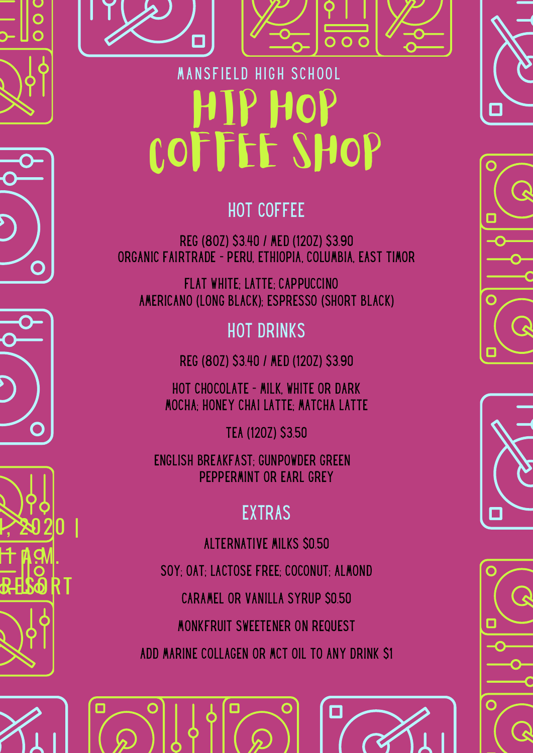











# 1IP HOP COFFEE SHOP **MANSFIELD HIGH SCHOOL**

## HOT COFFEE

REG (8OZ) \$3.40 / MED (12OZ) \$3.90 ORGANIC FAIRTRADE - PERU, ETHIOPIA, COLUMBIA, EAST TIMOR

FLAT WHITE; LATTE; CAPPUCCINO AMERICANO (LONG BLACK); ESPRESSO (SHORT BLACK)

HOT DRINKS

REG (8OZ) \$3.40 / MED (12OZ) \$3.90

HOT CHOCOLATE - MILK, WHITE OR DARK MOCHA; HONEY CHAI LATTE; MATCHA LATTE

TEA (12OZ) \$3.50

ENGLISH BREAKFAST; GUNPOWDER GREEN PEPPERMINT OR EARL GREY

### EXTRAS

ALTERNATIVE MILKS \$0.50

SOY; OAT; LACTOSE FREE; COCONUT; ALMOND CARAMEL OR VANILLA SYRUP \$0.50 MONKFRUIT SWEETENER ON REQUEST

ADD MARINE COLLAGEN OR MCT OIL TO ANY DRINK \$1